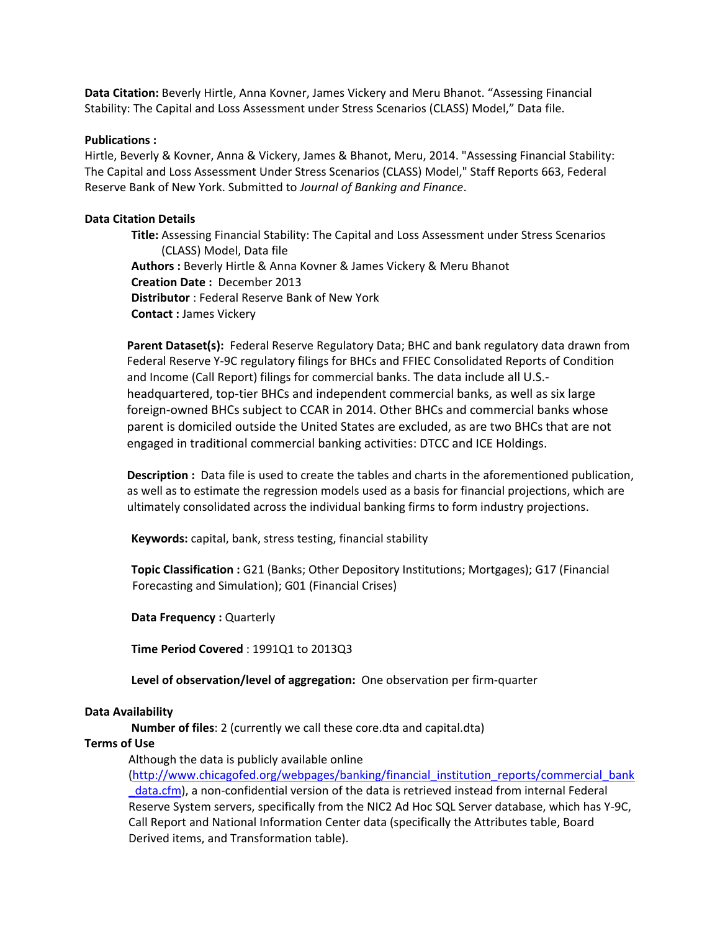**Data Citation:** Beverly Hirtle, Anna Kovner, James Vickery and Meru Bhanot. "Assessing Financial Stability: The Capital and Loss Assessment under Stress Scenarios (CLASS) Model," Data file.

### **Publications :**

Hirtle, Beverly & Kovner, Anna & Vickery, James & Bhanot, Meru, 2014. "Assessing Financial Stability: The Capital and Loss Assessment Under Stress Scenarios (CLASS) Model," Staff Reports 663, Federal Reserve Bank of New York. Submitted to *Journal of Banking and Finance*.

### **Data Citation Details**

 **Title:** Assessing Financial Stability: The Capital and Loss Assessment under Stress Scenarios (CLASS) Model, Data file **Authors :** Beverly Hirtle & Anna Kovner & James Vickery & Meru Bhanot **Creation Date :** December 2013 **Distributor** : Federal Reserve Bank of New York **Contact :** James Vickery

**Parent Dataset(s):** Federal Reserve Regulatory Data; BHC and bank regulatory data drawn from Federal Reserve Y-9C regulatory filings for BHCs and FFIEC Consolidated Reports of Condition and Income (Call Report) filings for commercial banks. The data include all U.S. headquartered, top-tier BHCs and independent commercial banks, as well as six large foreign-owned BHCs subject to CCAR in 2014. Other BHCs and commercial banks whose parent is domiciled outside the United States are excluded, as are two BHCs that are not engaged in traditional commercial banking activities: DTCC and ICE Holdings.

**Description :** Data file is used to create the tables and charts in the aforementioned publication, as well as to estimate the regression models used as a basis for financial projections, which are ultimately consolidated across the individual banking firms to form industry projections.

**Keywords:** capital, bank, stress testing, financial stability

 **Topic Classification :** G21 (Banks; Other Depository Institutions; Mortgages); G17 (Financial Forecasting and Simulation); G01 (Financial Crises)

**Data Frequency :** Quarterly

**Time Period Covered** : 1991Q1 to 2013Q3

**Level of observation/level of aggregation:** One observation per firm-quarter

### **Data Availability**

**Number of files**: 2 (currently we call these core.dta and capital.dta)

### **Terms of Use**

Although the data is publicly available online

[\(http://www.chicagofed.org/webpages/banking/financial\\_institution\\_reports/commercial\\_bank](http://www.chicagofed.org/webpages/banking/financial_institution_reports/commercial_bank_data.cfm) [\\_data.cfm\)](http://www.chicagofed.org/webpages/banking/financial_institution_reports/commercial_bank_data.cfm), a non-confidential version of the data is retrieved instead from internal Federal Reserve System servers, specifically from the NIC2 Ad Hoc SQL Server database, which has Y-9C, Call Report and National Information Center data (specifically the Attributes table, Board Derived items, and Transformation table).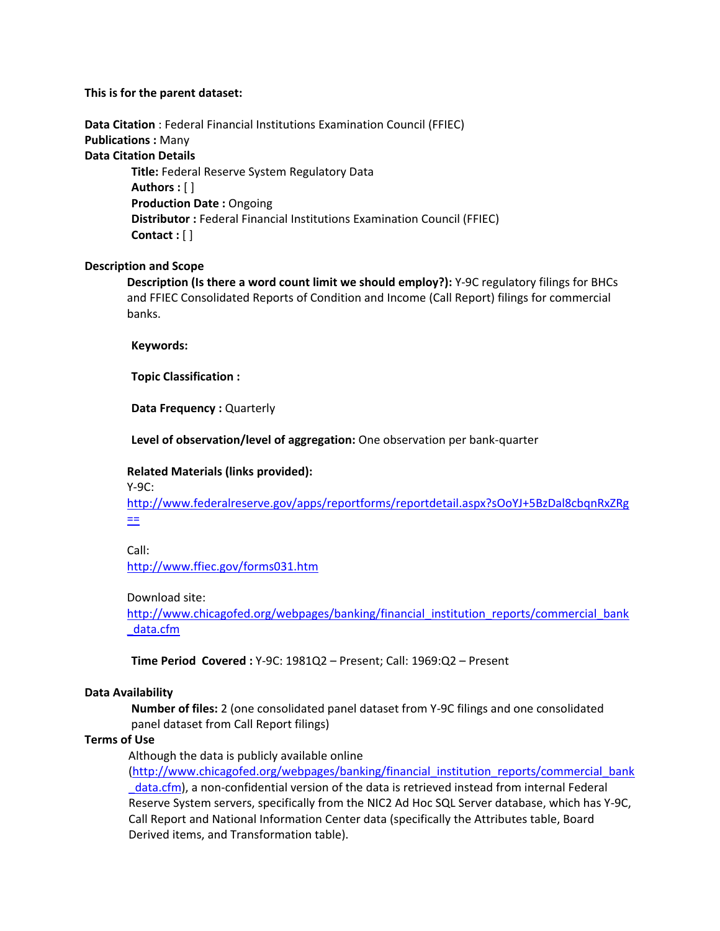# **This is for the parent dataset:**

**Data Citation** : Federal Financial Institutions Examination Council (FFIEC) **Publications :** Many **Data Citation Details Title:** Federal Reserve System Regulatory Data **Authors :** [ ] **Production Date :** Ongoing **Distributor :** Federal Financial Institutions Examination Council (FFIEC) **Contact :** [ ]

# **Description and Scope**

**Description (Is there a word count limit we should employ?):** Y-9C regulatory filings for BHCs and FFIEC Consolidated Reports of Condition and Income (Call Report) filings for commercial banks.

**Keywords:**

**Topic Classification :**

**Data Frequency :** Quarterly

**Level of observation/level of aggregation:** One observation per bank-quarter

# **Related Materials (links provided):**

Y-9C:

[http://www.federalreserve.gov/apps/reportforms/reportdetail.aspx?sOoYJ+5BzDal8cbqnRxZRg](http://www.federalreserve.gov/apps/reportforms/reportdetail.aspx?sOoYJ+5BzDal8cbqnRxZRg==) [==](http://www.federalreserve.gov/apps/reportforms/reportdetail.aspx?sOoYJ+5BzDal8cbqnRxZRg==)

Call:

<http://www.ffiec.gov/forms031.htm>

## Download site:

[http://www.chicagofed.org/webpages/banking/financial\\_institution\\_reports/commercial\\_bank](http://www.chicagofed.org/webpages/banking/financial_institution_reports/commercial_bank_data.cfm) [\\_data.cfm](http://www.chicagofed.org/webpages/banking/financial_institution_reports/commercial_bank_data.cfm)

**Time Period Covered :** Y-9C: 1981Q2 – Present; Call: 1969:Q2 – Present

# **Data Availability**

 **Number of files:** 2 (one consolidated panel dataset from Y-9C filings and one consolidated panel dataset from Call Report filings)

## **Terms of Use**

Although the data is publicly available online

[\(http://www.chicagofed.org/webpages/banking/financial\\_institution\\_reports/commercial\\_bank](http://www.chicagofed.org/webpages/banking/financial_institution_reports/commercial_bank_data.cfm) data.cfm), a non-confidential version of the data is retrieved instead from internal Federal Reserve System servers, specifically from the NIC2 Ad Hoc SQL Server database, which has Y-9C, Call Report and National Information Center data (specifically the Attributes table, Board Derived items, and Transformation table).